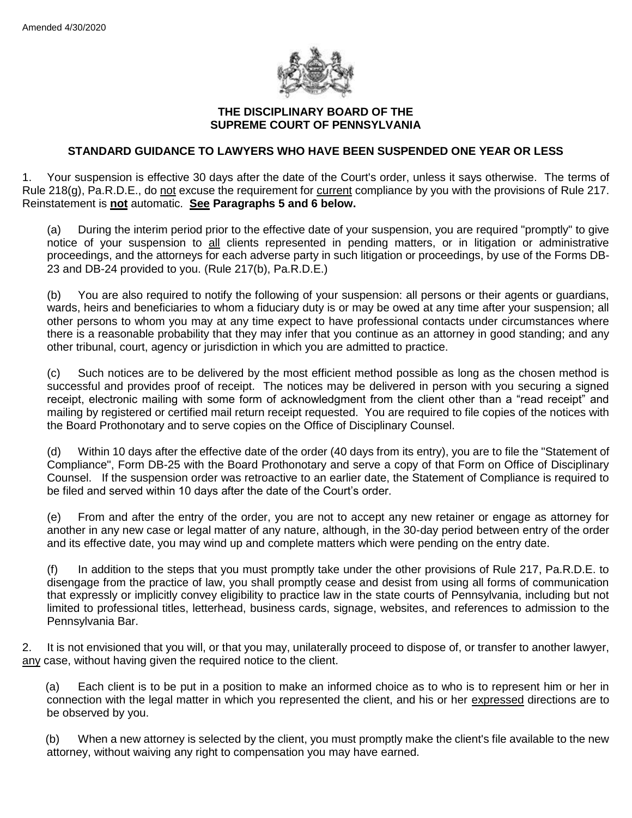

## **THE DISCIPLINARY BOARD OF THE SUPREME COURT OF PENNSYLVANIA**

## **STANDARD GUIDANCE TO LAWYERS WHO HAVE BEEN SUSPENDED ONE YEAR OR LESS**

1. Your suspension is effective 30 days after the date of the Court's order, unless it says otherwise. The terms of Rule 218(g), Pa.R.D.E., do not excuse the requirement for current compliance by you with the provisions of Rule 217. Reinstatement is **not** automatic. **See Paragraphs 5 and 6 below.**

(a) During the interim period prior to the effective date of your suspension, you are required "promptly" to give notice of your suspension to all clients represented in pending matters, or in litigation or administrative proceedings, and the attorneys for each adverse party in such litigation or proceedings, by use of the Forms DB-23 and DB-24 provided to you. (Rule 217(b), Pa.R.D.E.)

(b) You are also required to notify the following of your suspension: all persons or their agents or guardians, wards, heirs and beneficiaries to whom a fiduciary duty is or may be owed at any time after your suspension; all other persons to whom you may at any time expect to have professional contacts under circumstances where there is a reasonable probability that they may infer that you continue as an attorney in good standing; and any other tribunal, court, agency or jurisdiction in which you are admitted to practice.

(c) Such notices are to be delivered by the most efficient method possible as long as the chosen method is successful and provides proof of receipt. The notices may be delivered in person with you securing a signed receipt, electronic mailing with some form of acknowledgment from the client other than a "read receipt" and mailing by registered or certified mail return receipt requested. You are required to file copies of the notices with the Board Prothonotary and to serve copies on the Office of Disciplinary Counsel.

(d) Within 10 days after the effective date of the order (40 days from its entry), you are to file the "Statement of Compliance", Form DB-25 with the Board Prothonotary and serve a copy of that Form on Office of Disciplinary Counsel. If the suspension order was retroactive to an earlier date, the Statement of Compliance is required to be filed and served within 10 days after the date of the Court's order.

(e) From and after the entry of the order, you are not to accept any new retainer or engage as attorney for another in any new case or legal matter of any nature, although, in the 30-day period between entry of the order and its effective date, you may wind up and complete matters which were pending on the entry date.

(f) In addition to the steps that you must promptly take under the other provisions of Rule 217, Pa.R.D.E. to disengage from the practice of law, you shall promptly cease and desist from using all forms of communication that expressly or implicitly convey eligibility to practice law in the state courts of Pennsylvania, including but not limited to professional titles, letterhead, business cards, signage, websites, and references to admission to the Pennsylvania Bar.

2. It is not envisioned that you will, or that you may, unilaterally proceed to dispose of, or transfer to another lawyer, any case, without having given the required notice to the client.

(a) Each client is to be put in a position to make an informed choice as to who is to represent him or her in connection with the legal matter in which you represented the client, and his or her expressed directions are to be observed by you.

(b) When a new attorney is selected by the client, you must promptly make the client's file available to the new attorney, without waiving any right to compensation you may have earned.